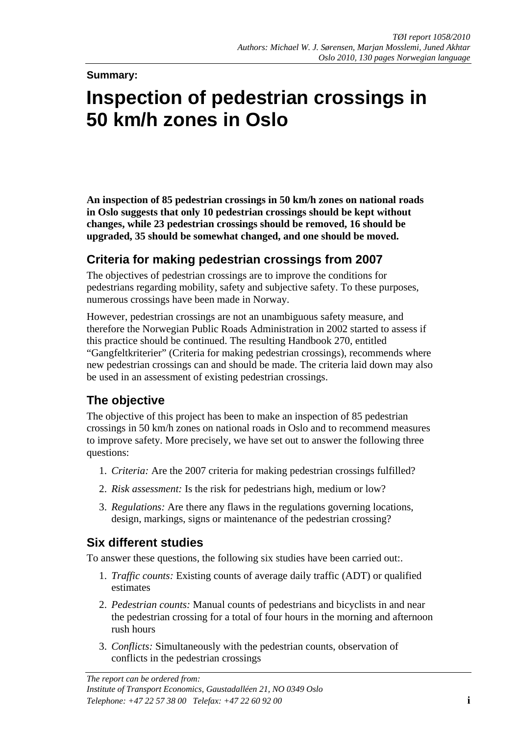#### **Summary:**

# **Inspection of pedestrian crossings in 50 km/h zones in Oslo**

**An inspection of 85 pedestrian crossings in 50 km/h zones on national roads in Oslo suggests that only 10 pedestrian crossings should be kept without changes, while 23 pedestrian crossings should be removed, 16 should be upgraded, 35 should be somewhat changed, and one should be moved.**

## **Criteria for making pedestrian crossings from 2007**

The objectives of pedestrian crossings are to improve the conditions for pedestrians regarding mobility, safety and subjective safety. To these purposes, numerous crossings have been made in Norway.

However, pedestrian crossings are not an unambiguous safety measure, and therefore the Norwegian Public Roads Administration in 2002 started to assess if this practice should be continued. The resulting Handbook 270, entitled "Gangfeltkriterier" (Criteria for making pedestrian crossings), recommends where new pedestrian crossings can and should be made. The criteria laid down may also be used in an assessment of existing pedestrian crossings.

## **The objective**

The objective of this project has been to make an inspection of 85 pedestrian crossings in 50 km/h zones on national roads in Oslo and to recommend measures to improve safety. More precisely, we have set out to answer the following three questions:

- 1. *Criteria:* Are the 2007 criteria for making pedestrian crossings fulfilled?
- 2. *Risk assessment:* Is the risk for pedestrians high, medium or low?
- 3. *Regulations:* Are there any flaws in the regulations governing locations, design, markings, signs or maintenance of the pedestrian crossing?

## **Six different studies**

To answer these questions, the following six studies have been carried out:.

- 1. *Traffic counts:* Existing counts of average daily traffic (ADT) or qualified estimates
- 2. *Pedestrian counts:* Manual counts of pedestrians and bicyclists in and near the pedestrian crossing for a total of four hours in the morning and afternoon rush hours
- 3. *Conflicts:* Simultaneously with the pedestrian counts, observation of conflicts in the pedestrian crossings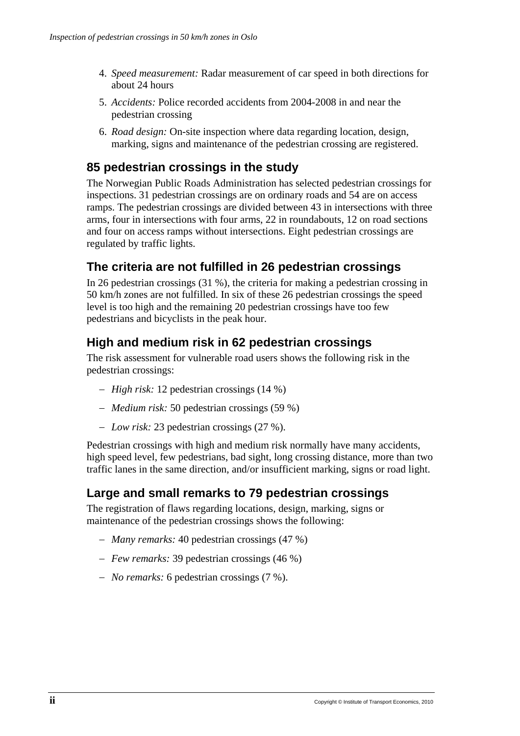- 4. *Speed measurement:* Radar measurement of car speed in both directions for about 24 hours
- 5. *Accidents:* Police recorded accidents from 2004-2008 in and near the pedestrian crossing
- 6. *Road design:* On-site inspection where data regarding location, design, marking, signs and maintenance of the pedestrian crossing are registered.

## **85 pedestrian crossings in the study**

The Norwegian Public Roads Administration has selected pedestrian crossings for inspections. 31 pedestrian crossings are on ordinary roads and 54 are on access ramps. The pedestrian crossings are divided between 43 in intersections with three arms, four in intersections with four arms, 22 in roundabouts, 12 on road sections and four on access ramps without intersections. Eight pedestrian crossings are regulated by traffic lights.

## **The criteria are not fulfilled in 26 pedestrian crossings**

In 26 pedestrian crossings (31 %), the criteria for making a pedestrian crossing in 50 km/h zones are not fulfilled. In six of these 26 pedestrian crossings the speed level is too high and the remaining 20 pedestrian crossings have too few pedestrians and bicyclists in the peak hour.

## **High and medium risk in 62 pedestrian crossings**

The risk assessment for vulnerable road users shows the following risk in the pedestrian crossings:

- − *High risk:* 12 pedestrian crossings (14 %)
- − *Medium risk:* 50 pedestrian crossings (59 %)
- − *Low risk:* 23 pedestrian crossings (27 %).

Pedestrian crossings with high and medium risk normally have many accidents, high speed level, few pedestrians, bad sight, long crossing distance, more than two traffic lanes in the same direction, and/or insufficient marking, signs or road light.

## **Large and small remarks to 79 pedestrian crossings**

The registration of flaws regarding locations, design, marking, signs or maintenance of the pedestrian crossings shows the following:

- − *Many remarks:* 40 pedestrian crossings (47 %)
- − *Few remarks:* 39 pedestrian crossings (46 %)
- − *No remarks:* 6 pedestrian crossings (7 %).